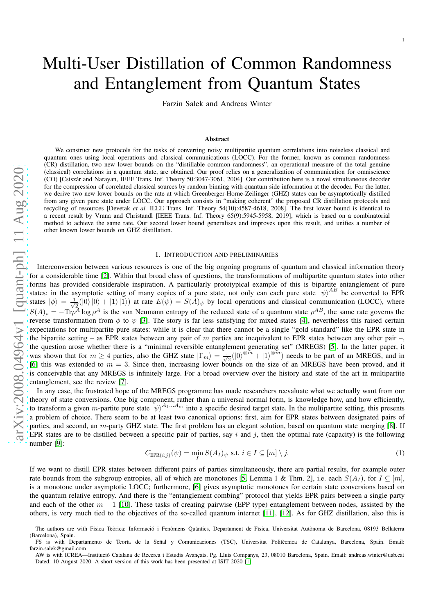# Multi-User Distillation of Common Randomness and Entanglement from Quantum States

1

Farzin Salek and Andreas Winter

# Abstract

We construct new protocols for the tasks of converting noisy multipartite quantum correlations into noiseless classical and quantum ones using local operations and classical communications (LOCC). For the former, known as common randomness (CR) distillation, two new lower bounds on the "distillable common randomness", an operational measure of the total genuine (classical) correlations in a quantum state, are obtained. Our proof relies on a generalization of communication for omniscience (CO) [Csisz´ar and Narayan, IEEE Trans. Inf. Theory 50:3047-3061, 2004]. Our contribution here is a novel simultaneous decoder for the compression of correlated classical sources by random binning with quantum side information at the decoder. For the latter, we derive two new lower bounds on the rate at which Greenberger-Horne-Zeilinger (GHZ) states can be asymptotically distilled from any given pure state under LOCC. Our approach consists in "making coherent" the proposed CR distillation protocols and recycling of resources [Devetak *et al.* IEEE Trans. Inf. Theory 54(10):4587-4618, 2008]. The first lower bound is identical to a recent result by Vrana and Christandl [IEEE Trans. Inf. Theory 65(9):5945-5958, 2019], which is based on a combinatorial method to achieve the same rate. Our second lower bound generalises and improves upon this result, and unifies a number of other known lower bounds on GHZ distillation.

# I. INTRODUCTION AND PRELIMINARIES

Interconversion between various resources is one of the big ongoing programs of quantum and classical information theory for a considerable time [\[2\]](#page-14-0). Within that broad class of questions, the transformations of multipartite quantum states into other forms has provided considerable inspiration. A particularly prototypical example of this is bipartite entanglement of pure states: in the asymptotic setting of many copies of a pure state, not only can each pure state  $|\psi\rangle^{AB}$  be converted to EPR states  $|\phi\rangle = \frac{1}{\sqrt{2}}$  $\frac{1}{2}(|0\rangle|0\rangle + |1\rangle|1\rangle)$  at rate  $E(\psi) = S(A)_{\psi}$  by local operations and classical communication (LOCC), where  $S(A)_{\rho} = -\text{Tr}\rho^A \log \rho^A$  is the von Neumann entropy of the reduced state of a quantum state  $\rho^{AB}$ , the same rate governs the reverse transformation from  $\phi$  to  $\psi$  [\[3\]](#page-14-1). The story is far less satisfying for mixed states [\[4\]](#page-14-2), nevertheless this raised certain expectations for multipartite pure states: while it is clear that there cannot be a single "gold standard" like the EPR state in the bipartite setting – as EPR states between any pair of  $m$  parties are inequivalent to EPR states between any other pair –, the question arose whether there is a "minimal reversible entanglement generating set" (MREGS) [\[5\]](#page-14-3). In the latter paper, it was shown that for  $m \geq 4$  parties, also the GHZ state  $|\Gamma_m\rangle = \frac{1}{\sqrt{2}}$  $\frac{1}{2}(|0\rangle^{\otimes m} + |1\rangle^{\otimes m})$  needs to be part of an MREGS, and in [\[6\]](#page-14-4) this was extended to  $m = 3$ . Since then, increasing lower bounds on the size of an MREGS have been proved, and it is conceivable that any MREGS is infinitely large. For a broad overview over the history and state of the art in multipartite entanglement, see the review [\[7\]](#page-14-5).

In any case, the frustrated hope of the MREGS programme has made researchers reevaluate what we actually want from our theory of state conversions. One big component, rather than a universal normal form, is knowledge how, and how efficiently, to transform a given *m*-partite pure state  $|\psi\rangle^{A_1...A_m}$  into a specific desired target state. In the multipartite setting, this presents a problem of choice. There seem to be at least two canonical options: first, aim for EPR states between designated pairs of parties, and second, an m-party GHZ state. The first problem has an elegant solution, based on quantum state merging [\[8\]](#page-14-6). If EPR states are to be distilled between a specific pair of parties, say i and j, then the optimal rate (capacity) is the following number [\[9\]](#page-14-7):

<span id="page-0-0"></span>
$$
C_{\text{EPR}(i:j)}(\psi) = \min_{I} S(A_I)_{\psi} \text{ s.t. } i \in I \subseteq [m] \setminus j. \tag{1}
$$

If we want to distill EPR states between different pairs of parties simultaneously, there are partial results, for example outer rate bounds from the subgroup entropies, all of which are monotones [\[5,](#page-14-3) Lemma 1 & Thm. 2], i.e. each  $S(A_I)$ , for  $I \subseteq [m]$ , is a monotone under asymptotic LOCC; furthermore, [\[6\]](#page-14-4) gives asymptotic monotones for certain state conversions based on the quantum relative entropy. And there is the "entanglement combing" protocol that yields EPR pairs between a single party and each of the other  $m - 1$  [\[10\]](#page-14-8). These tasks of creating pairwise (EPP type) entanglement between nodes, assisted by the others, is very much tied to the objectives of the so-called quantum internet [\[11\]](#page-14-9), [\[12\]](#page-14-10). As for GHZ distillation, also this is

The authors are with Física Teòrica: Informació i Fenòmens Quàntics, Departament de Física, Universitat Autònoma de Barcelona, 08193 Bellaterra (Barcelona), Spain.

FS is with Departamento de Teoría de la Señal y Comunicaciones (TSC), Universitat Politècnica de Catalunya, Barcelona, Spain. Email: farzin.salek@gmail.com

AW is with ICREA—Institució Catalana de Recerca i Estudis Avançats, Pg. Lluis Companys, 23, 08010 Barcelona, Spain. Email: andreas.winter@uab.cat Dated: 10 August 2020. A short version of this work has been presented at ISIT 2020 [\[1\]](#page-14-11).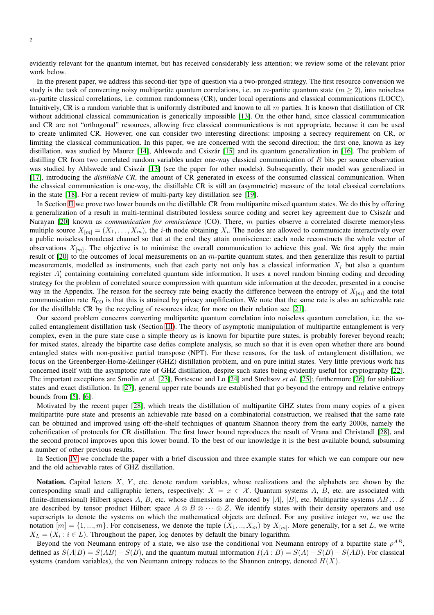evidently relevant for the quantum internet, but has received considerably less attention; we review some of the relevant prior work below.

In the present paper, we address this second-tier type of question via a two-pronged strategy. The first resource conversion we study is the task of converting noisy multipartite quantum correlations, i.e. an m-partite quantum state ( $m \ge 2$ ), into noiseless m-partite classical correlations, i.e. common randomness (CR), under local operations and classical communications (LOCC). Intuitively, CR is a random variable that is uniformly distributed and known to all  $m$  parties. It is known that distillation of CR without additional classical communication is generically impossible [\[13\]](#page-14-12). On the other hand, since classical communication and CR are not "orthogonal" resources, allowing free classical communications is not appropriate, because it can be used to create unlimited CR. However, one can consider two interesting directions: imposing a secrecy requirement on CR, or limiting the classical communication. In this paper, we are concerned with the second direction; the first one, known as key distillation, was studied by Maurer [\[14\]](#page-14-13), Ahlswede and Csiszár [\[15\]](#page-14-14) and its quantum generalization in [\[16\]](#page-14-15). The problem of distilling CR from two correlated random variables under one-way classical communication of  $R$  bits per source observation was studied by Ahlswede and Csiszár [\[13\]](#page-14-12) (see the paper for other models). Subsequently, their model was generalized in [\[17\]](#page-14-16), introducing the *distillable CR*, the amount of CR generated in excess of the consumed classical communication. When the classical communication is one-way, the distillable CR is still an (asymmetric) measure of the total classical correlations in the state [\[18\]](#page-14-17). For a recent review of multi-party key distillation see [\[19\]](#page-14-18).

In Section [II](#page-2-0) we prove two lower bounds on the distillable CR from multipartite mixed quantum states. We do this by offering a generalization of a result in multi-terminal distributed lossless source coding and secret key agreement due to Csiszár and Narayan [\[20\]](#page-14-19) known as *communication for omniscience* (CO). There, m parties observe a correlated discrete memoryless multiple source  $X_{[m]} = (X_1, \ldots, X_m)$ , the *i*-th node obtaining  $X_i$ . The nodes are allowed to communicate interactively over a public noiseless broadcast channel so that at the end they attain omniscience: each node reconstructs the whole vector of observations  $X_{[m]}$ . The objective is to minimise the overall communication to achieve this goal. We first apply the main result of  $[20]$  to the outcomes of local measurements on an m-partite quantum states, and then generalize this result to partial measurements, modelled as instruments, such that each party not only has a classical information  $X_i$  but also a quantum register  $A'_i$  containing containing correlated quantum side information. It uses a novel random binning coding and decoding strategy for the problem of correlated source compression with quantum side information at the decoder, presented in a concise way in the Appendix. The reason for the secrecy rate being exactly the difference between the entropy of  $X_{[m]}$  and the total communication rate  $R_{\text{CO}}$  is that this is attained by privacy amplification. We note that the same rate is also an achievable rate for the distillable CR by the recycling of resources idea; for more on their relation see [\[21\]](#page-14-20).

Our second problem concerns converting multipartite quantum correlation into noiseless quantum correlation, i.e. the socalled entanglement distillation task (Section [III\)](#page-4-0). The theory of asymptotic manipulation of multipartite entanglement is very complex, even in the pure state case a simple theory as is known for bipartite pure states, is probably forever beyond reach; for mixed states, already the bipartite case defies complete analysis, so much so that it is even open whether there are bound entangled states with non-positive partial transpose (NPT). For these reasons, for the task of entanglement distillation, we focus on the Greenberger-Horne-Zeilinger (GHZ) distillation problem, and on pure initial states. Very little previous work has concerned itself with the asymptotic rate of GHZ distillation, despite such states being evidently useful for cryptography [\[22\]](#page-14-21). The important exceptions are Smolin *et al.* [\[23\]](#page-14-22), Fortescue and Lo [\[24\]](#page-14-23) and Streltsov *et al.* [\[25\]](#page-14-24); furthermore [\[26\]](#page-14-25) for stabilizer states and exact distillation. In [\[27\]](#page-14-26), general upper rate bounds are established that go beyond the entropy and relative entropy bounds from  $[5]$ ,  $[6]$ .

Motivated by the recent paper [\[28\]](#page-14-27), which treats the distillation of multipartite GHZ states from many copies of a given multipartite pure state and presents an achievable rate based on a combinatorial construction, we realised that the same rate can be obtained and improved using off-the-shelf techniques of quantum Shannon theory from the early 2000s, namely the coherification of protocols for CR distillation. The first lower bound reproduces the result of Vrana and Christandl [\[28\]](#page-14-27), and the second protocol improves upon this lower bound. To the best of our knowledge it is the best available bound, subsuming a number of other previous results.

In Section [IV](#page-9-0) we conclude the paper with a brief discussion and three example states for which we can compare our new and the old achievable rates of GHZ distillation.

Notation. Capital letters  $X$ ,  $Y$ , etc. denote random variables, whose realizations and the alphabets are shown by the corresponding small and calligraphic letters, respectively:  $X = x \in \mathcal{X}$ . Quantum systems A, B, etc. are associated with (finite-dimensional) Hilbert spaces A, B, etc. whose dimensions are denoted by  $|A|, |B|$ , etc. Multipartite systems  $AB \dots Z$ are described by tensor product Hilbert space  $A \otimes B \otimes \cdots \otimes Z$ . We identify states with their density operators and use superscripts to denote the systems on which the mathematical objects are defined. For any positive integer  $m$ , we use the notation  $[m] = \{1, ..., m\}$ . For conciseness, we denote the tuple  $(X_1, ..., X_m)$  by  $X_{[m]}$ . More generally, for a set L, we write  $X_L = (X_i : i \in L)$ . Throughout the paper, log denotes by default the binary logarithm.

Beyond the von Neumann entropy of a state, we also use the conditional von Neumann entropy of a bipartite state  $\rho^{AB}$ , defined as  $S(A|B) = S(AB) - S(B)$ , and the quantum mutual information  $I(A:B) = S(A) + S(B) - S(AB)$ . For classical systems (random variables), the von Neumann entropy reduces to the Shannon entropy, denoted  $H(X)$ .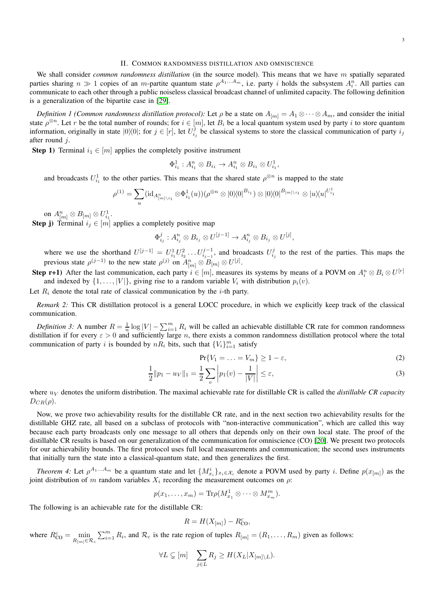<span id="page-2-0"></span>We shall consider *common randomness distillation* (in the source model). This means that we have m spatially separated parties sharing  $n \gg 1$  copies of an *m*-partite quantum state  $\rho^{A_1...A_m}$ , i.e. party *i* holds the subsystem  $A_i^n$ . All parties can communicate to each other through a public noiseless classical broadcast channel of unlimited capacity. The following definition is a generalization of the bipartite case in [29].

*Definition 1 (Common randomness distillation protocol):* Let  $\rho$  be a state on  $A_{[m]} = A_1 \otimes \cdots \otimes A_m$ , and consider the initial state  $\rho^{\otimes n}$ . Let r be the total number of rounds; for  $i \in [m]$ , let  $B_i$  be a local quantum system used by party i to store quantum information, originally in state  $|0\rangle\langle 0|$ ; for  $j \in [r]$ , let  $U_{i_j}^j$  be classical systems to store the classical communication of party  $i_j$ after round j.

**Step 1)** Terminal  $i_1 \in [m]$  applies the completely positive instrument

 $\Phi_{i_1}^1 : A_{i_1}^n \otimes B_{i_1} \to A_{i_1}^n \otimes B_{i_1} \otimes U_{i_1}^1,$ 

and broadcasts  $U_{i_1}^1$  to the other parties. This means that the shared state  $\rho^{\otimes n}$  is mapped to the state

$$
\rho^{(1)} = \sum_{u} (\mathrm{id}_{A_{[m]\setminus i_1}^n} \otimes \Phi_{i_1}^1(u)) (\rho^{\otimes n} \otimes |0\rangle\langle 0|^{B_{i_1}}) \otimes |0\rangle\langle 0|^{B_{[m]\setminus i_1}} \otimes |u\rangle\langle u|^{U_{i_1}^1}
$$

on  $A^n_{[m]} \otimes B_{[m]} \otimes U^1_{i_1}.$ 

**Step j**) Terminal  $i_j \in [m]$  applies a completely positive map

$$
\Phi_{i_j}^j: A_{i_j}^n \otimes B_{i_j} \otimes U^{[j-1]} \to A_{i_j}^n \otimes B_{i_j} \otimes U^{[j]},
$$

where we use the shorthand  $U^{[j-1]} = U_{i_1}^1 U_{i_2}^2 \dots U_{i_{j-1}}^{j-1}$ , and broadcasts  $U_{i_j}^j$  to the rest of the parties. This maps the previous state  $\rho^{(j-1)}$  to the new state  $\rho^{(j)}$  on  $A_{[m]}^n \otimes B_{[m]} \otimes U^{[j]}$ .

**Step r+1**) After the last communication, each party  $i \in [m]$ , measures its systems by means of a POVM on  $A_i^n \otimes B_i \otimes U^{[r]}$ and indexed by  $\{1, \ldots, |V|\}$ , giving rise to a random variable  $V_i$  with distribution  $p_i(v)$ .

Let  $R_i$  denote the total rate of classical communication by the *i*-th party.

*Remark 2:* This CR distillation protocol is a general LOCC procedure, in which we explicitly keep track of the classical communication.

*Definition 3:* A number  $R = \frac{1}{n} \log |V| - \sum_{i=1}^{m} R_i$  will be called an achievable distillable CR rate for common randomness distillation if for every  $\varepsilon > 0$  and sufficiently large n, there exists a common randomness distillation protocol where the total communication of party i is bounded by  $nR_i$  bits, such that  ${V_i}_{i=1}^m$  satisfy

$$
\Pr\{V_1 = \ldots = V_m\} \ge 1 - \varepsilon,\tag{2}
$$

$$
\frac{1}{2}||p_1 - u_V||_1 = \frac{1}{2} \sum_{v} \left| p_1(v) - \frac{1}{|V|} \right| \le \varepsilon,
$$
\n(3)

where  $u_V$  denotes the uniform distribution. The maximal achievable rate for distillable CR is called the *distillable CR capacity*  $D_{CR}(\rho)$ .

Now, we prove two achievability results for the distillable CR rate, and in the next section two achievability results for the distillable GHZ rate, all based on a subclass of protocols with "non-interactive communication", which are called this way because each party broadcasts only one message to all others that depends only on their own local state. The proof of the distillable CR results is based on our generalization of the communication for omniscience (CO) [\[20\]](#page-14-19). We present two protocols for our achievability bounds. The first protocol uses full local measurements and communication; the second uses instruments that initially turn the state into a classical-quantum state, and then generalizes the first.

<span id="page-2-1"></span>*Theorem 4:* Let  $\rho^{A_1...A_m}$  be a quantum state and let  $\{M_{x_i}^i\}_{x_i \in \mathcal{X}_i}$  denote a POVM used by party *i*. Define  $p(x_{[m]})$  as the joint distribution of m random variables  $X_i$  recording the measurement outcomes on  $\rho$ :

$$
p(x_1,\ldots,x_m)=\mathrm{Tr}\rho(M^1_{x_1}\otimes\cdots\otimes M^m_{x_m}).
$$

The following is an achievable rate for the distillable CR:

$$
R = H(X_{[m]}) - R_{\rm CO}^c,
$$

where  $R_{\text{CO}}^c = \min_{R_{[m]} \in \mathcal{R}_c}$  $\sum_{i=1}^{m} R_i$ , and  $\mathcal{R}_c$  is the rate region of tuples  $R_{[m]} = (R_1, \dots, R_m)$  given as follows:

$$
\forall L \subsetneq [m] \quad \sum_{j \in L} R_j \ge H(X_L | X_{[m] \setminus L}).
$$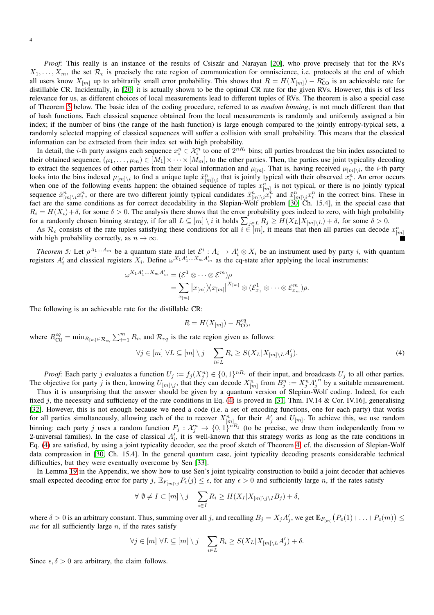*Proof:* This really is an instance of the results of Csiszár and Narayan [\[20\]](#page-14-19), who prove precisely that for the RVs  $X_1, \ldots, X_m$ , the set  $\mathcal{R}_c$  is precisely the rate region of communication for omniscience, i.e. protocols at the end of which all users know  $X_{[m]}$  up to arbitrarily small error probability. This shows that  $R = H(X_{[m]}) - R_{\text{CO}}^c$  is an achievable rate for distillable CR. Incidentally, in [\[20\]](#page-14-19) it is actually shown to be the optimal CR rate for the given RVs. However, this is of less relevance for us, as different choices of local measurements lead to different tuples of RVs. The theorem is also a special case of Theorem [5](#page-3-0) below. The basic idea of the coding procedure, referred to as *random binning*, is not much different than that of hash functions. Each classical sequence obtained from the local measurements is randomly and uniformly assigned a bin index; if the number of bins (the range of the hash function) is large enough compared to the jointly entropy-typical sets, a randomly selected mapping of classical sequences will suffer a collision with small probability. This means that the classical information can be extracted from their index set with high probability.

In detail, the *i*-th party assigns each sequence  $x_i^n \in \mathcal{X}_i^n$  to one of  $2^{nR_i}$  bins; all parties broadcast the bin index associated to their obtained sequence,  $(\mu_1, \ldots, \mu_m) \in [M_1] \times \cdots \times [M_m]$ , to the other parties. Then, the parties use joint typicality decoding to extract the sequences of other parties from their local information and  $\mu_{[m]}$ . That is, having received  $\mu_{[m]\setminus i}$ , the *i*-th party looks into the bins indexed  $\mu_{[m]\setminus i}$  to find a unique tuple  $\hat{x}_{[m]\setminus i}^n$  that is jointly typical with their observed  $x_i^n$ . An error occurs when one of the following events happen: the obtained sequence of tuples  $x_{[m]}^{[m] \setminus i}$  is not typical, or there is no jointly typical sequence  $\hat{x}_{[m]\setminus i}^n x_i^n$ , or there are two different jointly typical candidates  $\hat{x}_{[m]\setminus i}^n \hat{x}_i^h$  and  $\check{x}_{[m]\setminus i}^n x_i^n$  in the correct bins. These in fact are the same conditions as for correct decodability in the Slepian-Wolf problem [\[30,](#page-14-28) Ch. 15.4], in the special case that  $R_i = H(X_i) + \delta$ , for some  $\delta > 0$ . The analysis there shows that the error probability goes indeed to zero, with high probability for a randomly chosen binning strategy, if for all  $L \subseteq [m] \setminus i$  it holds  $\sum_{j \in L} R_j \ge H(X_L | X_{[m] \setminus L}) + \delta$ , for some  $\delta > 0$ .

As  $\mathcal{R}_c$  consists of the rate tuples satisfying these conditions for all  $i \in [m]$ , it means that then all parties can decode  $x_{[m]}^n$ with high probability correctly, as  $n \to \infty$ .

<span id="page-3-0"></span>*Theorem 5:* Let  $\rho^{A_1...A_m}$  be a quantum state and let  $\mathcal{E}^i$ :  $A_i \to A'_i \otimes X_i$  be an instrument used by party i, with quantum registers  $A'_i$  and classical registers  $X_i$ . Define  $\omega^{X_1 A'_1...X_m A'_m}$  as the cq-state after applying the local instruments:

$$
\omega^{X_1 A'_1...X_m A'_m} = (\mathcal{E}^1 \otimes \cdots \otimes \mathcal{E}^m)\rho
$$
  
= 
$$
\sum_{x_{[m]}} |x_{[m]} \rangle \langle x_{[m]}|^{X_{[m]}} \otimes (\mathcal{E}^1_{x_1} \otimes \cdots \otimes \mathcal{E}^m_{x_m})\rho.
$$

The following is an achievable rate for the distillable CR:

<span id="page-3-1"></span>
$$
R=H(X_{[m]})-R^{cq}_{\rm CO},
$$

where  $R_{\text{CO}}^{cq} = \min_{R_{[m]} \in \mathcal{R}_{cq}} \sum_{i=1}^{m} R_i$ , and  $\mathcal{R}_{cq}$  is the rate region given as follows:

$$
\forall j \in [m] \ \forall L \subseteq [m] \setminus j \quad \sum_{i \in L} R_i \ge S(X_L | X_{[m] \setminus L} A'_j). \tag{4}
$$

*Proof:* Each party j evaluates a function  $U_j := f_j(X_j^n) \in \{0,1\}^{nR_j}$  of their input, and broadcasts  $U_j$  to all other parties. The objective for party j is then, knowing  $U_{[m] \setminus j}$ , that they can decode  $X_{[m]}^n$  from  $B_j^n := X_j^n A_j'^n$  by a suitable measurement.

Thus it is unsurprising that the answer should be given by a quantum version of Slepian-Wolf coding. Indeed, for each fixed j, the necessity and sufficiency of the rate conditions in Eq. [\(4\)](#page-3-1) is proved in [\[31,](#page-14-29) Thm. IV.14 & Cor. IV.16], generalising [\[32\]](#page-14-30). However, this is not enough because we need a code (i.e. a set of encoding functions, one for each party) that works for all parties simultaneously, allowing each of the to recover  $X_{[m]}^n$  for their  $A'_j$  and  $U_{[m]}$ . To achieve this, we use random binning: each party j uses a random function  $F_j: \mathcal{X}_j^n \to \{0,1\}^{nR_j}$  (to be precise, we draw them independently from m 2-universal families). In the case of classical  $A'_i$ , it is well-known that this strategy works as long as the rate conditions in Eq. [\(4\)](#page-3-1) are satisfied, by using a joint typicality decoder, see the proof sketch of Theorem [4;](#page-2-1) cf. the discussion of Slepian-Wolf data compression in [\[30,](#page-14-28) Ch. 15.4]. In the general quantum case, joint typicality decoding presents considerable technical difficulties, but they were eventually overcome by Sen [\[33\]](#page-14-31).

In Lemma [19](#page-11-0) in the Appendix, we show how to use Sen's joint typicality construction to build a joint decoder that achieves small expected decoding error for party j,  $\mathbb{E}_{F_{[m]\setminus i}}P_e(j) \leq \epsilon$ , for any  $\epsilon > 0$  and sufficiently large n, if the rates satisfy

$$
\forall \emptyset \neq I \subset [m] \setminus j \quad \sum_{i \in I} R_i \geq H(X_I | X_{[m] \setminus j \setminus I} B_j) + \delta,
$$

where  $\delta > 0$  is an arbitrary constant. Thus, summing over all j, and recalling  $B_j = X_j A'_j$ , we get  $\mathbb{E}_{F_{[m]}}(P_e(1) + ... + P_e(m)) \le$  $m\epsilon$  for all sufficiently large n, if the rates satisfy

$$
\forall j \in [m] \ \forall L \subseteq [m] \setminus j \quad \sum_{i \in L} R_i \ge S(X_L | X_{[m] \setminus L} A'_j) + \delta.
$$

Since  $\epsilon, \delta > 0$  are arbitrary, the claim follows.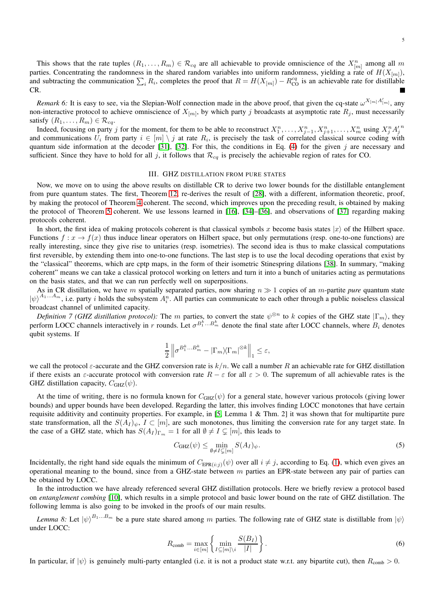This shows that the rate tuples  $(R_1, \ldots, R_m) \in \mathcal{R}_{cq}$  are all achievable to provide omniscience of the  $X_{[m]}^n$  among all m parties. Concentrating the randomness in the shared random variables into uniform randomness, yielding a rate of  $H(X_{[m]})$ , and subtracting the communication  $\sum_i R_i$ , completes the proof that  $R = H(X_{[m]}) - R_{\text{CO}}^{cq}$  is an achievable rate for distillable CR.

*Remark 6*: It is easy to see, via the Slepian-Wolf connection made in the above proof, that given the cq-state  $\omega^{X_{[m]}A'_{[m]}},$  any non-interactive protocol to achieve omniscience of  $X_{[m]}$ , by which party j broadcasts at asymptotic rate  $R_j$ , must necessarily satisfy  $(R_1, \ldots, R_m) \in \mathcal{R}_{cq}$ .

Indeed, focusing on party j for the moment, for them to be able to reconstruct  $X_1^n, \ldots, X_{j-1}^n, X_{j+1}^n, \ldots, X_m^n$  using  $X_j^n A_j^n$ and communications  $U_i$  from party  $i \in [m] \setminus j$  at rate  $R_i$ , is precisely the task of correlated classical source coding with quantum side information at the decoder [\[31\]](#page-14-29), [\[32\]](#page-14-30). For this, the conditions in Eq. [\(4\)](#page-3-1) for the given  $j$  are necessary and sufficient. Since they have to hold for all j, it follows that  $\mathcal{R}_{cq}$  is precisely the achievable region of rates for CO.

#### III. GHZ DISTILLATION FROM PURE STATES

<span id="page-4-0"></span>Now, we move on to using the above results on distillable CR to derive two lower bounds for the distillable entanglement from pure quantum states. The first, Theorem [12,](#page-5-0) re-derives the result of [\[28\]](#page-14-27), with a different, information theoretic, proof, by making the protocol of Theorem [4](#page-2-1) coherent. The second, which improves upon the preceding result, is obtained by making the protocol of Theorem [5](#page-3-0) coherent. We use lessons learned in [\[16\]](#page-14-15), [\[34\]](#page-14-32)–[\[36\]](#page-14-33), and observations of [\[37\]](#page-14-34) regarding making protocols coherent.

In short, the first idea of making protocols coherent is that classical symbols x become basis states  $|x\rangle$  of the Hilbert space. Functions  $f: x \to f(x)$  thus induce linear operators on Hilbert space, but only permutations (resp. one-to-one functions) are really interesting, since they give rise to unitaries (resp. isometries). The second idea is thus to make classical computations first reversible, by extending them into one-to-one functions. The last step is to use the local decoding operations that exist by the "classical" theorems, which are cptp maps, in the form of their isometric Stinespring dilations [\[38\]](#page-14-35). In summary, "making coherent" means we can take a classical protocol working on letters and turn it into a bunch of unitaries acting as permutations on the basis states, and that we can run perfectly well on superpositions.

As in CR distillation, we have m spatially separated parties, now sharing  $n \gg 1$  copies of an m-partite *pure* quantum state  $\ket{\psi}^{A_1...A_m}$ , i.e. party *i* holds the subsystem  $A_i^n$ . All parties can communicate to each other through a public noiseless classical broadcast channel of unlimited capacity.

*Definition 7 (GHZ distillation protocol):* The m parties, to convert the state  $\psi^{\otimes n}$  to k copies of the GHZ state  $|\Gamma_m\rangle$ , they perform LOCC channels interactively in r rounds. Let  $\sigma^{B_1^k...B_m^k}$  denote the final state after LOCC channels, where  $B_i$  denotes qubit systems. If

$$
\frac{1}{2} \left\| \sigma^{B_1^k...B_m^k} - |\Gamma_m \rangle \! \langle \Gamma_m|^{ \otimes k} \right\|_1 \leq \varepsilon,
$$

we call the protocol  $\varepsilon$ -accurate and the GHZ conversion rate is  $k/n$ . We call a number R an achievable rate for GHZ distillation if there exists an  $\varepsilon$ -accurate protocol with conversion rate  $R - \varepsilon$  for all  $\varepsilon > 0$ . The supremum of all achievable rates is the GHZ distillation capacity,  $C_{GHZ}(\psi)$ .

At the time of writing, there is no formula known for  $C_{GHZ}(\psi)$  for a general state, however various protocols (giving lower bounds) and upper bounds have been developed. Regarding the latter, this involves finding LOCC monotones that have certain requisite additivity and continuity properties. For example, in [\[5,](#page-14-3) Lemma 1 & Thm. 2] it was shown that for multipartite pure state transformation, all the  $S(A_I)_{\psi}$ ,  $I \subset [m]$ , are such monotones, thus limiting the conversion rate for any target state. In the case of a GHZ state, which has  $S(A_I)_{\Gamma_m} = 1$  for all  $\emptyset \neq I \subsetneq [m]$ , this leads to

<span id="page-4-1"></span>
$$
C_{\text{GHZ}}(\psi) \le \min_{\emptyset \ne I \subsetneq [m]} S(A_I)_{\psi}.
$$
 (5)

Incidentally, the right hand side equals the minimum of  $C_{EPR(i:j)}(\psi)$  over all  $i \neq j$ , according to Eq. [\(1\)](#page-0-0), which even gives an operational meaning to the bound, since from a GHZ-state between  $m$  parties an EPR-state between any pair of parties can be obtained by LOCC.

In the introduction we have already referenced several GHZ distillation protocols. Here we briefly review a protocol based on *entanglement combing* [\[10\]](#page-14-8), which results in a simple protocol and basic lower bound on the rate of GHZ distillation. The following lemma is also going to be invoked in the proofs of our main results.

<span id="page-4-2"></span>*Lemma 8:* Let  $|\psi\rangle^{B_1...B_m}$  be a pure state shared among m parties. The following rate of GHZ state is distillable from  $|\psi\rangle$ under LOCC:

$$
R_{\text{comb}} = \max_{i \in [m]} \left\{ \min_{I \subseteq [m] \setminus i} \frac{S(B_I)}{|I|} \right\}.
$$
 (6)

In particular, if  $|\psi\rangle$  is genuinely multi-party entangled (i.e. it is not a product state w.r.t. any bipartite cut), then  $R_{\text{comb}} > 0$ .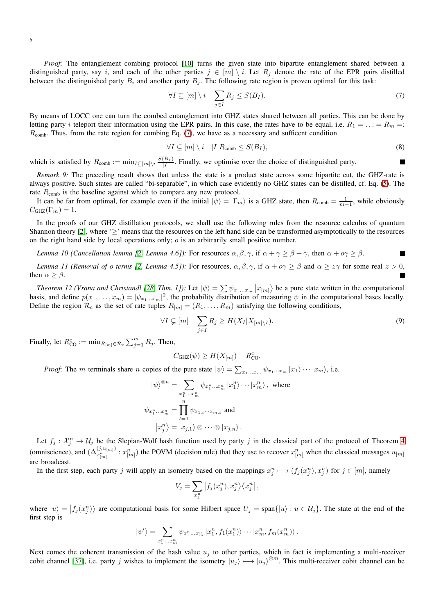*Proof:* The entanglement combing protocol [\[10\]](#page-14-8) turns the given state into bipartite entanglement shared between a distinguished party, say i, and each of the other parties  $j \in [m] \setminus i$ . Let  $R_j$  denote the rate of the EPR pairs distilled between the distinguished party  $B_i$  and another party  $B_j$ . The following rate region is proven optimal for this task:

$$
\forall I \subseteq [m] \setminus i \quad \sum_{j \in I} R_j \le S(B_I). \tag{7}
$$

By means of LOCC one can turn the combed entanglement into GHZ states shared between all parties. This can be done by letting party *i* teleport their information using the EPR pairs. In this case, the rates have to be equal, i.e.  $R_1 = \ldots = R_m =$ :  $R_{\text{comb}}$ . Thus, from the rate region for combing Eq. [\(7\)](#page-5-1), we have as a necessary and sufficent condition

$$
\forall I \subseteq [m] \setminus i \quad |I| R_{\text{comb}} \le S(B_I),\tag{8}
$$

<span id="page-5-2"></span><span id="page-5-1"></span>П

which is satisfied by  $R_{\text{comb}} := \min_{I \subseteq [m] \setminus i} \frac{S(B_I)}{|I|}$  $\frac{|B_I|}{|I|}$ . Finally, we optimise over the choice of distinguished party.

*Remark 9:* The preceding result shows that unless the state is a product state across some bipartite cut, the GHZ-rate is always positive. Such states are called "bi-separable", in which case evidently no GHZ states can be distilled, cf. Eq. [\(5\)](#page-4-1). The rate  $R_{\text{comb}}$  is the baseline against which to compare any new protocol.

It can be far from optimal, for example even if the initial  $|\psi\rangle = |\Gamma_m\rangle$  is a GHZ state, then  $R_{\text{comb}} = \frac{1}{m-1}$ , while obviously  $C_{\text{GHZ}}(\Gamma_m) = 1.$ 

In the proofs of our GHZ distillation protocols, we shall use the following rules from the resource calculus of quantum Shannon theory [\[2\]](#page-14-0), where ' $\geq$ ' means that the resources on the left hand side can be transformed asymptotically to the resources on the right hand side by local operations only;  $o$  is an arbitrarily small positive number.

<span id="page-5-3"></span>*Lemma 10 (Cancellation lemma [\[2,](#page-14-0) Lemma 4.6]):* For resources  $\alpha, \beta, \gamma$ , if  $\alpha + \gamma \geq \beta + \gamma$ , then  $\alpha + \alpha \gamma \geq \beta$ .  $\blacksquare$ 

<span id="page-5-4"></span>*Lemma 11 (Removal of o terms [\[2,](#page-14-0) Lemma 4.5]):* For resources,  $\alpha, \beta, \gamma$ , if  $\alpha + \alpha \gamma \ge \beta$  and  $\alpha \ge z\gamma$  for some real  $z > 0$ ,  $\blacksquare$ then  $\alpha \geq \beta$ .

<span id="page-5-0"></span>*Theorem 12 (Vrana and Christandl [\[28,](#page-14-27) Thm. 1]):* Let  $|\psi\rangle = \sum \psi_{x_1...x_m} |x_{[m]}\rangle$  be a pure state written in the computational basis, and define  $p(x_1, \ldots, x_m) = |\psi_{x_1 \ldots x_m}|^2$ , the probability distribution of measuring  $\psi$  in the computational bases locally. Define the region  $\mathcal{R}_c$  as the set of rate tuples  $R_{[m]} = (R_1, \ldots, R_m)$  satisfying the following conditions,

$$
\forall I \subsetneq [m] \quad \sum_{j \in I} R_j \ge H(X_I | X_{[m] \setminus I}). \tag{9}
$$

Finally, let  $R_{\text{CO}}^c := \min_{R_{[m]} \in \mathcal{R}_c} \sum_{j=1}^m R_j$ . Then,

$$
C_{\text{GHZ}}(\psi) \ge H(X_{[m]}) - R_{\text{CO}}^c.
$$

*Proof:* The m terminals share n copies of the pure state  $|\psi\rangle = \sum_{x_1...x_m} \psi_{x_1...x_m} |x_1\rangle \cdots |x_m\rangle$ , i.e.

$$
|\psi\rangle^{\otimes n} = \sum_{x_1^n...x_m^n} \psi_{x_1^n...x_m^n} |x_1^n\rangle \cdots |x_m^n\rangle, \text{ where}
$$
  

$$
\psi_{x_1^n...x_m^n} = \prod_{t=1}^n \psi_{x_{1,t}...x_{m,t}} \text{ and}
$$
  

$$
|x_j^n\rangle = |x_{j,1}\rangle \otimes \cdots \otimes |x_{j,n}\rangle.
$$

Let  $f_j : \mathcal{X}_j^n \to \mathcal{U}_j$  be the Slepian-Wolf hash function used by party j in the classical part of the protocol of Theorem [4](#page-2-1) (omniscience), and  $(\Delta^{(j, u_{[m]})}_{x_{[m]}^n} : x_{[m]}^n)$  the POVM (decision rule) that they use to recover  $x_{[m]}^n$  when the classical messages  $u_{[m]}$ are broadcast.

In the first step, each party j will apply an isometry based on the mappings  $x_j^n \mapsto (f_j(x_j^n), x_j^n)$  for  $j \in [m]$ , namely

$$
V_j = \sum_{x_j^n} \left| f_j(x_j^n), x_j^n \right\rangle \left\langle x_j^n \right|,
$$

where  $|u\rangle = |f_j(x_j^n)\rangle$  are computational basis for some Hilbert space  $U_j = \text{span}\{|u\rangle : u \in \mathcal{U}_j\}$ . The state at the end of the first step is

$$
|\psi'\rangle = \sum_{x_1^n...x_m^n} \psi_{x_1^n...x_m^n} |x_1^n, f_1(x_1^n)\rangle \cdots |x_m^n, f_m(x_m^n)\rangle.
$$

Next comes the coherent transmission of the hash value  $u_j$  to other parties, which in fact is implementing a multi-receiver cobit channel [\[37\]](#page-14-34), i.e. party j wishes to implement the isometry  $|u_j\rangle \mapsto |u_j\rangle^{\otimes m}$ . This multi-receiver cobit channel can be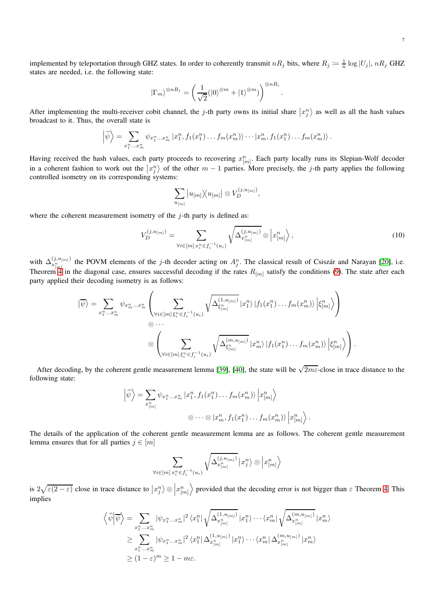implemented by teleportation through GHZ states. In order to coherently transmit  $nR_j$  bits, where  $R_j \coloneqq \frac{1}{n} \log |U_j|$ ,  $nR_j$  GHZ states are needed, i.e. the following state:

$$
|\Gamma_m\rangle^{\otimes nR_j} = \left(\frac{1}{\sqrt{2}}(|0\rangle^{\otimes m} + |1\rangle^{\otimes m})\right)^{\otimes nR_i}.
$$

After implementing the multi-receiver cobit channel, the j-th party owns its initial share  $|x_j^n\rangle$  as well as all the hash values broadcast to it. Thus, the overall state is

$$
\left|\widetilde{\psi}\right\rangle = \sum_{x_1^n...x_m^n} \psi_{x_1^n...x_m^n} \left|x_1^n, f_1(x_1^n)...f_m(x_m^n)\right\rangle \cdots \left|x_m^n, f_1(x_1^n)...f_m(x_m^n)\right\rangle.
$$

Having received the hash values, each party proceeds to recovering  $x_{[m]}^n$ . Each party locally runs its Slepian-Wolf decoder in a coherent fashion to work out the  $|x_j^n\rangle$  of the other  $m-1$  parties. More precisely, the j-th party applies the following controlled isometry on its corresponding systems:

$$
\sum_{u_{[m]}} \big| u_{[m]} \big\rangle\!\big\langle u_{[m]} \big| \otimes V_D^{(j, u_{[m]})},
$$

where the coherent measurement isometry of the  $j$ -th party is defined as:

$$
V_D^{(j,u_{[m]})} = \sum_{\forall i \in [m]}\sum_{x_i^n \in f_i^{-1}(u_i)} \sqrt{\Delta_{x_{[m]}^n}^{(j,u_{[m]})}} \otimes \left| x_{[m]}^n \right\rangle,\tag{10}
$$

.

with  $\Delta_{x_{[m]}^n}^{(j,u_{[m]})}$  the POVM elements of the j-th decoder acting on  $A_j^n$ . The classical result of Csiszár and Narayan [\[20\]](#page-14-19), i.e. Theorem [4](#page-2-1) in the diagonal case, ensures successful decoding if the rates  $R_{[m]}$  satisfy the conditions [\(9\)](#page-5-2). The state after each party applied their decoding isometry is as follows:

$$
\left| \overline{\psi} \right\rangle = \sum_{x_1^n \dots x_m^n} \psi_{x_m^n \dots x_m^n} \left( \sum_{\forall i \in [m] \xi_i^n \in f_i^{-1}(u_i)} \sqrt{\Delta_{\xi_{[m]}^n}^{(1, u_{[m]})}} \left| x_1^n \right\rangle \left| f_1(x_1^n) \dots f_m(x_m^n) \right\rangle \left| \xi_{[m]}^n \right\rangle \right) \newline \otimes \dots \newline \otimes \left( \sum_{\forall i \in [m] \xi_i^n \in f_i^{-1}(u_i)} \sqrt{\Delta_{\xi_{[m]}^n}^{(m, u_{[m]})}} \left| x_m^n \right\rangle \left| f_1(x_1^n) \dots f_m(x_m^n) \right\rangle \left| \xi_{[m]}^n \right\rangle \right).
$$

After decoding, by the coherent gentle measurement lemma [\[39\]](#page-14-36), [\[40\]](#page-14-37), the state will be  $\sqrt{2m\varepsilon}$ -close in trace distance to the following state:

$$
\left| \widehat{\psi} \right\rangle = \sum_{x_{[m]}^n} \psi_{x_1^n \dots x_m^n} \left| x_1^n, f_1(x_1^n) \dots f_m(x_m^n) \right\rangle \left| x_{[m]}^n \right\rangle
$$
  

$$
\otimes \dots \otimes \left| x_m^n, f_1(x_1^n) \dots f_m(x_m^n) \right\rangle \left| x_{[m]}^n \right\rangle
$$

The details of the application of the coherent gentle measurement lemma are as follows. The coherent gentle measurement lemma ensures that for all parties  $j \in [m]$ 

$$
\sum_{\forall i \in [m]} \sum_{x_i^n \in f_i^{-1}(u_i)} \sqrt{\Delta_{x_{[m]}^n}^{(j,u_{[m]})}} \left| x_j^n \right\rangle \otimes \left| x_{[m]}^n \right\rangle
$$

is  $2\sqrt{\varepsilon(2-\varepsilon)}$  close in trace distance to  $\left|x_j^n\right> \otimes$  $\Big|x_{[m]}^n$  $\rangle$  provided that the decoding error is not bigger than  $\varepsilon$  Theorem [4.](#page-2-1) This implies

$$
\langle \widehat{\psi} | \overline{\psi} \rangle = \sum_{\substack{x_1^n \dots x_n^n \\ \geq \sum_{x_1^n \dots x_m^n}} | \psi_{x_1^n \dots x_n^n} |^2 \langle x_1^n | \sqrt{\Delta_{x_{[m]}^n}^{(1, u_{[m]})}} | x_1^n \rangle \cdots \langle x_m^n | \sqrt{\Delta_{x_{[m]}^n}^{(m, u_{[m]})}} | x_n^n \rangle
$$
  
\n
$$
\geq \sum_{x_1^n \dots x_m^n} | \psi_{x_1^n \dots x_m^n} |^2 \langle x_1^n | \Delta_{x_{[m]}^n}^{(1, u_{[m]})} | x_1^n \rangle \cdots \langle x_m^n | \Delta_{x_{[m]}^n}^{(m, u_{[m]})} | x_m^n \rangle
$$
  
\n
$$
\geq (1 - \varepsilon)^m \geq 1 - m\varepsilon.
$$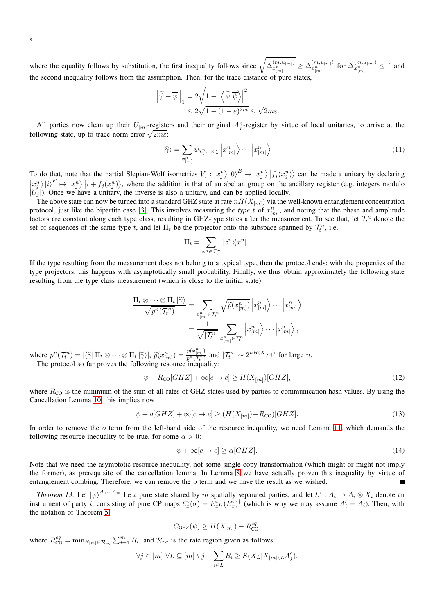where the equality follows by substitution, the first inequality follows since  $\sqrt{\Delta_{x_{[m]}^n}^{(m,u_{[m]})}} \geq \Delta_{x_{[m]}^n}^{(m,u_{[m]})}$  for  $\Delta_{x_{[m]}^n}^{(m,u_{[m]})} \leq 1$  and the second inequality follows from the assumption. Then, for the trace distance of pure states,

$$
\begin{aligned} \left\| \widehat{\psi} - \overline{\psi} \right\|_1 &= 2\sqrt{1 - \left| \left\langle \widehat{\psi} \middle| \overline{\psi} \right\rangle \right|^2} \\ &\leq 2\sqrt{1 - (1-\varepsilon)^{2m}} \leq \sqrt{2m\varepsilon}. \end{aligned}
$$

All parties now clean up their  $U_{[m]}$ -registers and their original  $A_j^n$ -register by virtue of local unitaries, to arrive at the following state, up to trace norm error  $\sqrt{2m\varepsilon}$ :

$$
|\widehat{\gamma}\rangle = \sum_{x_{[m]}^n} \psi_{x_1^n...x_m^n} \left| x_{[m]}^n \right\rangle \cdots \left| x_{[m]}^n \right\rangle \tag{11}
$$

To do that, note that the partial Slepian-Wolf isometries  $V_j : |x_j^n\rangle |0\rangle^E \mapsto |x_j^n\rangle |f_j(x_j^n)\rangle$  can be made a unitary by declaring  $\left|\frac{x_j^n}{j}\right\rangle|i\rangle^E \mapsto \left|x_j^n\right\rangle|i+f_j(x_j^n)\rangle$ , where the addition is that of an abelian group on the ancillary register (e.g. integers modulo  $|U_j|$ ). Once we have a unitary, the inverse is also a unitary, and can be applied locally.

The above state can now be turned into a standard GHZ state at rate  $nH(X_{[m]})$  via the well-known entanglement concentration protocol, just like the bipartite case [\[3\]](#page-14-1). This involves measuring the *type*  $\hat{t}$  of  $x_{[m]}^n$ , and noting that the phase and amplitude factors are constant along each type class, resulting in GHZ-type states after the measurement. To see that, let  $\mathcal{T}_t^n$  denote the set of sequences of the same type t, and let  $\Pi_t$  be the projector onto the subspace spanned by  $\mathcal{T}_t^n$ , i.e.

$$
\Pi_t = \sum_{x^n \in \mathcal{T}_t^n} |x^n \rangle \langle x^n| \,.
$$

If the type resulting from the measurement does not belong to a typical type, then the protocol ends; with the properties of the type projectors, this happens with asymptotically small probability. Finally, we thus obtain approximately the following state resulting from the type class measurement (which is close to the initial state)

$$
\frac{\Pi_t \otimes \cdots \otimes \Pi_t | \hat{\gamma} \rangle}{\sqrt{p^n(\mathcal{T}_t^n)}} = \sum_{x_{[m]}^n \in \mathcal{T}_t^n} \sqrt{\tilde{p}(x_{[m]}^n)} |x_{[m]}^n \rangle \cdots |x_{[m]}^n \rangle
$$

$$
= \frac{1}{\sqrt{|\mathcal{T}_t^n|}} \sum_{x_{[m]}^n \in \mathcal{T}_t^n} |x_{[m]}^n \rangle \cdots |x_{[m]}^n \rangle,
$$

where  $p^n(\mathcal{T}_t^n) = |\langle \hat{\gamma} | \Pi_t \otimes \cdots \otimes \Pi_t | \hat{\gamma} \rangle|, \ \widetilde{p}(x_{[m]}^n) = \frac{p(x_{[m]}^n)}{p^n(\mathcal{T}_t^n)}$  $\frac{p(x_{[m]})}{p^n(\mathcal{T}_t^n)}$  and  $|\mathcal{T}_t^n| \sim 2^{n(X_{[m]})}$  for large n. The protocol so far proves the following resource inequality:

$$
\psi + R_{\rm CO}[GHZ] + \infty[c \to c] \ge H(X_{[m]})[GHZ],\tag{12}
$$

where  $R_{\text{CO}}$  is the minimum of the sum of all rates of GHZ states used by parties to communication hash values. By using the Cancellation Lemma [10,](#page-5-3) this implies now

$$
\psi + o[GHZ] + \infty[c \to c] \ge (H(X_{[m]}) - R_{\text{CO}})[GHZ].
$$
\n(13)

In order to remove the  $\sigma$  term from the left-hand side of the resource inequality, we need Lemma [11,](#page-5-4) which demands the following resource inequality to be true, for some  $\alpha > 0$ :

$$
\psi + \infty[c \to c] \ge \alpha[GHZ].\tag{14}
$$

Note that we need the asymptotic resource inequality, not some single-copy transformation (which might or might not imply the former), as prerequisite of the cancellation lemma. In Lemma [8](#page-4-2) we have actually proven this inequality by virtue of entanglement combing. Therefore, we can remove the o term and we have the result as we wished.

<span id="page-7-0"></span>*Theorem 13:* Let  $|\psi\rangle^{A_1...A_m}$  be a pure state shared by m spatially separated parties, and let  $\mathcal{E}^i:A_i\to A_i\otimes X_i$  denote an instrument of party *i*, consisting of pure CP maps  $\mathcal{E}_x^i(\sigma) = E_x^i \sigma(E_x^i)^\dagger$  (which is why we may assume  $A'_i = A_i$ ). Then, with the notation of Theorem [5,](#page-3-0)

$$
C_{\text{GHZ}}(\psi) \ge H(X_{[m]}) - R_{\text{CO}}^{cq},
$$

where  $R_{\text{CO}}^{cq} = \min_{R_{[m]} \in \mathcal{R}_{cq}} \sum_{i=1}^{m} R_i$ , and  $\mathcal{R}_{cq}$  is the rate region given as follows:

$$
\forall j \in [m] \ \forall L \subseteq [m] \setminus j \quad \sum_{i \in L} R_i \ge S(X_L | X_{[m] \setminus L} A'_j).
$$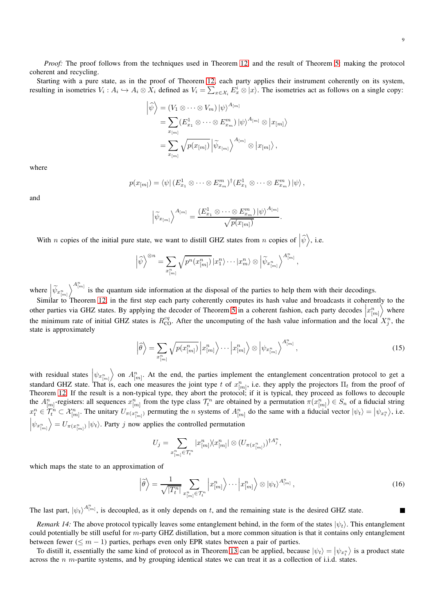*Proof:* The proof follows from the techniques used in Theorem [12,](#page-5-0) and the result of Theorem [5:](#page-3-0) making the protocol coherent and recycling.

Starting with a pure state, as in the proof of Theorem [12,](#page-5-0) each party applies their instrument coherently on its system, resulting in isometries  $V_i: A_i \hookrightarrow A_i \otimes X_i$  defined as  $V_i = \sum_{x \in \mathcal{X}_i} E_x^i \otimes |x\rangle$ . The isometries act as follows on a single copy:

$$
\left| \widehat{\psi} \right\rangle = (V_1 \otimes \cdots \otimes V_m) \left| \psi \right\rangle^{A_{[m]}} \n= \sum_{x_{[m]}} (E_{x_1}^1 \otimes \cdots \otimes E_{x_m}^m) \left| \psi \right\rangle^{A_{[m]}} \otimes \left| x_{[m]} \right\rangle \n= \sum_{x_{[m]}} \sqrt{p(x_{[m]})} \left| \widetilde{\psi}_{x_{[m]}} \right\rangle^{A_{[m]}} \otimes \left| x_{[m]} \right\rangle,
$$

where

$$
p(x_{[m]}) = \langle \psi | (E_{x_1}^1 \otimes \cdots \otimes E_{x_m}^m)^{\dagger} (E_{x_1}^1 \otimes \cdots \otimes E_{x_m}^m) | \psi \rangle,
$$

and

$$
\left|\widetilde{\psi}_{x_{[m]}}\right\rangle^{A_{[m]}} = \frac{\left(E_{x_1}^1 \otimes \cdots \otimes E_{x_m}^m\right) |\psi\rangle^{A_{[m]}}}{\sqrt{p(x_{[m]})}}.
$$

With *n* copies of the initial pure state, we want to distill GHZ states from *n* copies of  $|\hat{\psi}\rangle$ , i.e.

$$
\left|\widehat{\psi}\right\rangle^{\otimes n} = \sum_{x_{[m]}^n} \sqrt{p^n(x_{[m]}^n)} \left|x_1^n\right\rangle \cdots \left|x_m^n\right\rangle \otimes \left|\widetilde{\psi}_{x_{[m]}^n}\right\rangle^{A_{[m]}^n},
$$

where  $\left| \widetilde{\psi}_{x_{[m]}^n} \right|$  $\sum_{n=1}^{\infty}$  is the quantum side information at the disposal of the parties to help them with their decodings.

Similar to Theorem [12,](#page-5-0) in the first step each party coherently computes its hash value and broadcasts it coherently to the other parties via GHZ states. By applying the decoder of Theorem [5](#page-3-0) in a coherent fashion, each party decodes  $\left| x_{[m]}^n \right|$  $\int$  where the minimum rate of initial GHZ states is  $R_{\text{CO}}^{cq}$ . After the uncomputing of the hash value information and the local  $X_j^n$ , the state is approximately

$$
\left|\widehat{\theta}\right\rangle = \sum_{x_{[m]}^n} \sqrt{p(x_{[m]}^n)} \left| x_{[m]}^n \right\rangle \cdots \left| x_{[m]}^n \right\rangle \otimes \left| \psi_{x_{[m]}^n} \right\rangle^{A_{[m]}^n},\tag{15}
$$

with residual states  $\psi_{x_{[m]}^n}$  $\left\langle \right\rangle$  on  $A_{[m]}^n$ . At the end, the parties implement the entanglement concentration protocol to get a standard GHZ state. That is, each one measures the joint type t of  $x_{[m]}^n$ , i.e. they apply the projectors  $\Pi_t$  from the proof of Theorem [12.](#page-5-0) If the result is a non-typical type, they abort the protocol; if it is typical, they proceed as follows to decouple the  $A_{[m]}^n$ -registers: all sequences  $x_{[m]}^n$  from the type class  $\mathcal{T}_t^n$  are obtained by a permutation  $\pi(x_{[m]}^n) \in S_n$  of a fiducial string  $x_t^n \in \mathcal{T}_t^n \subset \mathcal{X}_{[m]}^n$ . The unitary  $U_{\pi(x_{[m]}^n)}$  permuting the *n* systems of  $A_{[m]}^n$  do the same with a fiducial vector  $|\psi_t\rangle = |\psi_{x_t^n}\rangle$ , i.e.  $\Big|\psi_{x_{[m]}^n}$  $\left\langle E \right\rangle = U_{\pi(x_{[m]}^n)} |\psi_t\rangle$ . Party j now applies the controlled permutation

$$
U_j = \sum_{x_{[m]}^n \in \mathcal{T}_t^n} |x_{[m]}^n \rangle \langle x_{[m]}^n| \otimes (U_{\pi(x_{[m]}^n)})^{\dagger A_j^n},
$$

which maps the state to an approximation of

$$
\left|\widetilde{\theta}\right\rangle = \frac{1}{\sqrt{|T_t^n|}} \sum_{x_{[m]}^n \in \mathcal{T}_t^n} \left| x_{[m]}^n \right\rangle \cdots \left| x_{[m]}^n \right\rangle \otimes \left| \psi_t \right\rangle^{A_{[m]}^n},\tag{16}
$$

The last part,  $|\psi_t\rangle^{A_{[m]}^n}$ , is decoupled, as it only depends on t, and the remaining state is the desired GHZ state.

<span id="page-8-0"></span>*Remark 14:* The above protocol typically leaves some entanglement behind, in the form of the states  $|\psi_t\rangle$ . This entanglement could potentially be still useful for  $m$ -party GHZ distillation, but a more common situation is that it contains only entanglement between fewer ( $\leq m - 1$ ) parties, perhaps even only EPR states between a pair of parties.

To distill it, essentially the same kind of protocol as in Theorem [13](#page-7-0) can be applied, because  $|\psi_t\rangle = |\psi_{x_t}r\rangle$  is a product state across the  $n$  m-partite systems, and by grouping identical states we can treat it as a collection of i.i.d. states.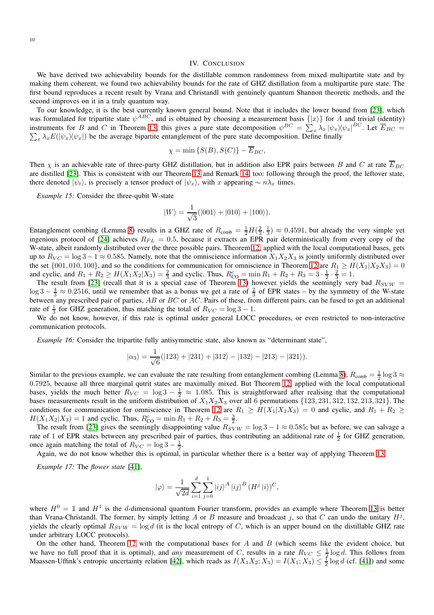# IV. CONCLUSION

<span id="page-9-0"></span>We have derived two achievability bounds for the distillable common randomness from mixed multipartite state and by making them coherent, we found two achievability bounds for the rate of GHZ distillation from a multipartite pure state. The first bound reproduces a recent result by Vrana and Christandl with genuinely quantum Shannon theoretic methods, and the second improves on it in a truly quantum way.

To our knowledge, it is the best currently known general bound. Note that it includes the lower bound from [\[23\]](#page-14-22), which was formulated for tripartite state  $\psi^{ABC}$ , and is obtained by choosing a measurement basis  $\{|x\rangle\}$  for A and trivial (identity) instruments for B and C in Theorem [13;](#page-7-0) this gives a pure state decomposition  $\psi^{BC} = \sum_{x} \lambda_x |\psi_x \rangle \langle \psi_x |^{BC}$ . Let  $\overline{E}_{BC}$  =  $\sum_{x} \lambda_x E(|\psi_x \rangle \langle \psi_x |)$  be the average bipartite entanglement of the pure state decomposition. Define finally

$$
\chi = \min \left\{ S(B), S(C) \right\} - \overline{E}_{BC},
$$

Then  $\chi$  is an achievable rate of three-party GHZ distillation, but in addition also EPR pairs between B and C at rate  $\overline{E}_{BC}$ are distilled [\[23\]](#page-14-22). This is consistent with our Theorem [13](#page-7-0) and Remark [14,](#page-8-0) too: following through the proof, the leftover state, there denoted  $|\psi_t\rangle$ , is precisely a tensor product of  $|\psi_x\rangle$ , with x appearing  $\sim n\lambda_x$  times.

*Example 15:* Consider the three-qubit W-state

$$
|W\rangle = \frac{1}{\sqrt{3}}(|001\rangle + |010\rangle + |100\rangle).
$$

Entanglement combing (Lemma [8\)](#page-4-2) results in a GHZ rate of  $R_{\text{comb}} = \frac{1}{2}H(\frac{2}{3},\frac{1}{3}) \approx 0.4591$ , but already the very simple yet ingenious protocol of [\[24\]](#page-14-23) achieves  $R_{FL} = 0.5$ , because it extracts an EPR pair deterministically from every copy of the W-state, albeit randomly distributed over the three possible pairs. Theorem [12,](#page-5-0) applied with the local computational bases, gets up to  $R_{VC} = \log 3 - 1 \approx 0.585$ . Namely, note that the omniscience information  $X_1 X_2 X_3$  is jointly uniformly distributed over the set  $\{001, 010, 100\}$ , and so the conditions for communication for omniscience in Theorem [12](#page-5-0) are  $R_1 \ge H(X_1|X_2X_3) = 0$ and cyclic, and  $R_1 + R_2 \ge H(X_1 X_2 | X_3) = \frac{2}{3}$  and cyclic. Thus,  $R_{\text{CO}}^c = \min R_1 + R_2 + R_3 = 3 \cdot \frac{1}{2} \cdot \frac{2}{3} = 1$ .

The result from [\[23\]](#page-14-22) (recall that it is a special case of Theorem [13\)](#page-7-0) however yields the seemingly very bad  $R_{SVW}$  =  $\log 3 - \frac{4}{3} \approx 0.2516$ , until we remember that as a bonus we get a rate of  $\frac{2}{3}$  of EPR states – by the symmetry of the W-state between any prescribed pair of parties, AB or BC or AC. Pairs of these, from different pairs, can be fused to get an additional rate of  $\frac{1}{3}$  for GHZ generation, thus matching the total of  $R_{VC} = \log 3 - 1$ .

We do not know, however, if this rate is optimal under general LOCC procedures, or even restricted to non-interactive communication protocols.

*Example 16:* Consider the tripartite fully antisymmetric state, also known as "determinant state",

$$
|\alpha_3\rangle = \frac{1}{\sqrt{6}}(|123\rangle + |231\rangle + |312\rangle - |132\rangle - |213\rangle - |321\rangle).
$$

Similar to the previous example, we can evaluate the rate resulting from entanglement combing (Lemma [8\)](#page-4-2),  $R_{\text{comb}} = \frac{1}{2} \log 3 \approx$ 0.7925, because all three marginal qutrit states are maximally mixed. But Theorem [12,](#page-5-0) applied with the local computational bases, yields the much better  $R_{VC} = \log 3 - \frac{1}{2} \approx 1.085$ . This is straightforward after realising that the computational bases measurements result in the uniform distribution of  $X_1X_2X_3$  over all 6 permutations  $\{123, 231, 312, 132, 213, 321\}$ . The conditions for communication for omniscience in Theorem [12](#page-5-0) are  $R_1 \ge H(X_1|X_2X_3) = 0$  and cyclic, and  $R_1 + R_2 \ge$  $H(X_1X_2|X_3) = 1$  and cyclic. Thus,  $R_{\text{CO}}^c = \min R_1 + R_2 + R_3 = \frac{3}{2}$ .

The result from [\[23\]](#page-14-22) gives the seemingly disappointing value  $R_{SVW} = \log 3 - 1 \approx 0.585$ ; but as before, we can salvage a rate of 1 of EPR states between any prescribed pair of parties, thus contributing an additional rate of  $\frac{1}{2}$  for GHZ generation, once again matching the total of  $R_{VC} = \log 3 - \frac{1}{2}$ .

Again, we do not know whether this is optimal, in particular whether there is a better way of applying Theorem [13.](#page-7-0)

*Example 17:* The *flower state* [\[41\]](#page-14-38),

$$
\left|\varphi\right\rangle = \frac{1}{\sqrt{2d}} \sum_{i=1}^{d} \sum_{j=0}^{1} \left|ij\right\rangle^{A} \left|ij\right\rangle^{B} (H^{j} \left|i\right\rangle)^{C},
$$

where  $H^0 = \mathbb{1}$  and  $H^1$  is the d-dimensional quantum Fourier transform, provides an example where Theorem [13](#page-7-0) is better than Vrana-Christandl. The former, by simply letting A or B measure and broadcast j, so that C can undo the unitary  $H^j$ , yields the clearly optimal  $R_{SVW} = \log d$  (it is the local entropy of C, which is an upper bound on the distillable GHZ rate under arbitrary LOCC protocols).

On the other hand, Theorem [12](#page-5-0) with the computational bases for  $A$  and  $B$  (which seems like the evident choice, but we have no full proof that it is optimal), and *any* measurement of C, results in a rate  $R_{VC} \leq \frac{1}{2} \log d$ . This follows from Maassen-Uffink's entropic uncertainty relation [\[42\]](#page-14-39), which reads as  $I(X_1X_2; X_3) = I(X_1; X_3) \le \frac{1}{2} \log d$  (cf. [\[41\]](#page-14-38)) and some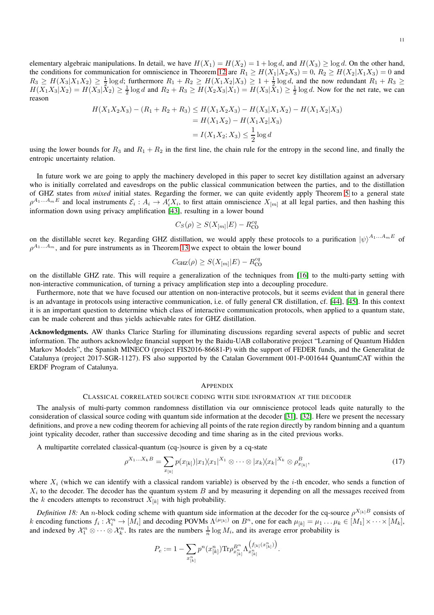11

elementary algebraic manipulations. In detail, we have  $H(X_1) = H(X_2) = 1 + \log d$ , and  $H(X_3) \ge \log d$ . On the other hand, the conditions for communication for omniscience in Theorem [12](#page-5-0) are  $R_1 \ge H(X_1|X_2X_3) = 0$ ,  $R_2 \ge H(X_2|X_1X_3) = 0$  and  $R_3 \geq H(X_3|X_1X_2) \geq \frac{1}{2}\log d$ ; furthermore  $R_1 + R_2 \geq H(X_1X_2|X_3) \geq 1 + \frac{1}{2}\log d$ , and the now redundant  $R_1 + R_3 \geq$  $H(X_1X_3|X_2) = H(X_3|\bar{X}_2) \ge \frac{1}{2}\log d$  and  $R_2 + R_3 \ge H(X_2X_3|X_1) = H(X_3|\bar{X}_1) \ge \frac{1}{2}\log d$ . Now for the net rate, we can reason

$$
H(X_1X_2X_3) - (R_1 + R_2 + R_3) \le H(X_1X_2X_3) - H(X_3|X_1X_2) - H(X_1X_2|X_3)
$$
  
=  $H(X_1X_2) - H(X_1X_2|X_3)$   
=  $I(X_1X_2; X_3) \le \frac{1}{2} \log d$ 

using the lower bounds for  $R_3$  and  $R_1 + R_2$  in the first line, the chain rule for the entropy in the second line, and finally the entropic uncertainty relation.

In future work we are going to apply the machinery developed in this paper to secret key distillation against an adversary who is initially correlated and eavesdrops on the public classical communication between the parties, and to the distillation of GHZ states from *mixed* initial states. Regarding the former, we can quite evidently apply Theorem [5](#page-3-0) to a general state  $\rho^{A_1...A_mE}$  and local instruments  $\mathcal{E}_i: A_i \to A'_iX_i$ , to first attain omniscience  $X_{[m]}$  at all legal parties, and then hashing this information down using privacy amplification [\[43\]](#page-14-40), resulting in a lower bound

$$
C_S(\rho) \geq S(X_{[m]}|E) - R_{\rm CO}^{cq}
$$

on the distillable secret key. Regarding GHZ distillation, we would apply these protocols to a purification  $|\psi\rangle^{A_1...A_mE}$  of  $\rho^{A_1...A_m}$ , and for pure instruments as in Theorem [13](#page-7-0) we expect to obtain the lower bound

$$
C_{\text{GHZ}}(\rho) \ge S(X_{[m]}|E) - R_{\text{CO}}^{cq}
$$

on the distillable GHZ rate. This will require a generalization of the techniques from [\[16\]](#page-14-15) to the multi-party setting with non-interactive communication, of turning a privacy amplification step into a decoupling procedure.

Furthermore, note that we have focused our attention on non-interactive protocols, but it seems evident that in general there is an advantage in protocols using interactive communication, i.e. of fully general CR distillation, cf. [\[44\]](#page-14-41), [\[45\]](#page-14-42). In this context it is an important question to determine which class of interactive communication protocols, when applied to a quantum state, can be made coherent and thus yields achievable rates for GHZ distillation.

Acknowledgments. AW thanks Clarice Starling for illuminating discussions regarding several aspects of public and secret information. The authors acknowledge financial support by the Baidu-UAB collaborative project "Learning of Quantum Hidden Markov Models", the Spanish MINECO (project FIS2016-86681-P) with the support of FEDER funds, and the Generalitat de Catalunya (project 2017-SGR-1127). FS also supported by the Catalan Government 001-P-001644 QuantumCAT within the ERDF Program of Catalunya.

# **APPENDIX**

#### CLASSICAL CORRELATED SOURCE CODING WITH SIDE INFORMATION AT THE DECODER

The analysis of multi-party common randomness distillation via our omniscience protocol leads quite naturally to the consideration of classical source coding with quantum side information at the decoder [\[31\]](#page-14-29), [\[32\]](#page-14-30). Here we present the necessary definitions, and prove a new coding theorem for achieving all points of the rate region directly by random binning and a quantum joint typicality decoder, rather than successive decoding and time sharing as in the cited previous works.

A multipartite correlated classical-quantum (cq-)source is given by a cq-state

<span id="page-10-0"></span>
$$
\rho^{X_1...X_k} = \sum_{x_{[k]}} p(x_{[k]}) |x_1 \rangle \langle x_1|^{X_1} \otimes \cdots \otimes |x_k \rangle \langle x_k|^{X_k} \otimes \rho^B_{x_{[k]}},\tag{17}
$$

.

where  $X_i$  (which we can identify with a classical random variable) is observed by the *i*-th encoder, who sends a function of  $X_i$  to the decoder. The decoder has the quantum system  $B$  and by measuring it depending on all the messages received from the k encoders attempts to reconstruct  $X_{[k]}$  with high probability.

<span id="page-10-1"></span>*Definition 18:* An *n*-block coding scheme with quantum side information at the decoder for the cq-source  $\rho^{X_{[k]}B}$  consists of k encoding functions  $f_i: \mathcal{X}_i^n \to [M_i]$  and decoding POVMs  $\Lambda^{(\mu_{[k]})}$  on  $B^n$ , one for each  $\mu_{[k]} = \mu_1 \dots \mu_k \in [M_1] \times \dots \times [M_k]$ , and indexed by  $\mathcal{X}_1^n \otimes \cdots \otimes \mathcal{X}_k^n$ . Its rates are the numbers  $\frac{1}{n} \log M_i$ , and its average error probability is

$$
P_e := 1 - \sum_{x_{[k]}^n} p^n(x_{[k]}^n) \text{Tr} \rho_{x_{[k]}^n}^{B^n} \Lambda_{x_{[k]}^n}^{ \left( f_{[k]}(x_{[k]}^n) \right) }
$$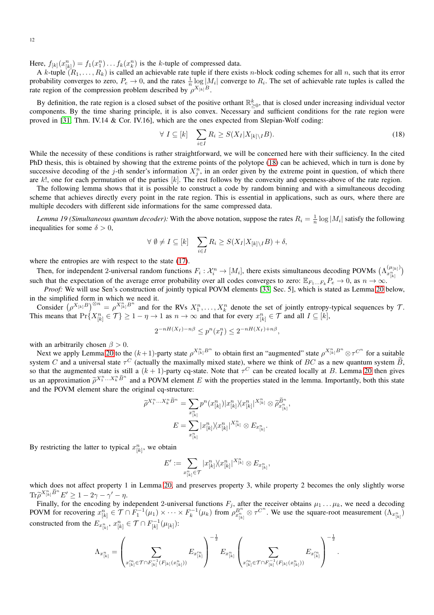Here,  $f_{[k]}(x_{[k]}^n) = f_1(x_1^n) \dots f_k(x_k^n)$  is the k-tuple of compressed data.

A k-tuple  $(R_1, \ldots, R_k)$  is called an achievable rate tuple if there exists n-block coding schemes for all n, such that its error probability converges to zero,  $P_e \to 0$ , and the rates  $\frac{1}{n} \log |M_i|$  converge to  $R_i$ . The set of achievable rate tuples is called the rate region of the compression problem described by  $\rho^{X_{[k]}B}$ .

By definition, the rate region is a closed subset of the positive orthant  $\mathbb{R}^k_{\geq 0}$ , that is closed under increasing individual vector components. By the time sharing principle, it is also convex. Necessary and sufficient conditions for the rate region were proved in [\[31,](#page-14-29) Thm. IV.14 & Cor. IV.16], which are the ones expected from Slepian-Wolf coding:

<span id="page-11-1"></span>
$$
\forall I \subseteq [k] \quad \sum_{i \in I} R_i \ge S(X_I | X_{[k] \setminus I} B). \tag{18}
$$

While the necessity of these conditions is rather straightforward, we will be concerned here with their sufficiency. In the cited PhD thesis, this is obtained by showing that the extreme points of the polytope [\(18\)](#page-11-1) can be achieved, which in turn is done by successive decoding of the j-th sender's information  $X_j^n$ , in an order given by the extreme point in question, of which there are  $k!$ , one for each permutation of the parties  $[k]$ . The rest follows by the convexity and openness-above of the rate region.

The following lemma shows that it is possible to construct a code by random binning and with a simultaneous decoding scheme that achieves directly every point in the rate region. This is essential in applications, such as ours, where there are multiple decoders with different side informations for the same compressed data.

<span id="page-11-0"></span>*Lemma 19 (Simultaneous quantum decoder)*: With the above notation, suppose the rates  $R_i = \frac{1}{n} \log|M_i|$  satisfy the following inequalities for some  $\delta > 0$ ,

$$
\forall \emptyset \neq I \subseteq [k] \quad \sum_{i \in I} R_i \geq S(X_I | X_{[k] \setminus I} B) + \delta,
$$

where the entropies are with respect to the state  $(17)$ .

Then, for independent 2-universal random functions  $F_i: \mathcal{X}_i^n \to [M_i]$ , there exists simultaneous decoding POVMs  $(\Lambda_{x_{[k]}^n}^{(\mu_{[k]})})$ such that the expectation of the average error probability over all codes converges to zero:  $\mathbb{E}_{F_1...F_k} P_e \to 0$ , as  $n \to \infty$ .

*Proof:* We will use Sen's construction of jointly typical POVM elements [\[33,](#page-14-31) Sec. 5], which is stated as Lemma [20](#page-12-0) below, in the simplified form in which we need it.

Consider  $(\rho^{X_{[k]}B})^{\otimes n} = \rho^{X_{[k]}^n B^n}$  and for the RVs  $X_1^n, \ldots, X_k^n$  denote the set of jointly entropy-typical sequences by  $\mathcal{T}$ . This means that  $Pr\{X_{[k]}^n \in \mathcal{T}\} \ge 1 - \eta \to 1$  as  $n \to \infty$  and that for every  $x_{[k]}^n \in \mathcal{T}$  and all  $I \subseteq [k]$ ,

$$
2^{-nH(X_I) - n\beta} \le p^n(x_I^n) \le 2^{-nH(X_I) + n\beta},
$$

with an arbitrarily chosen  $\beta > 0$ .

Next we apply Lemma [20](#page-12-0) to the  $(k+1)$ -party state  $\rho^{X_{[k]}^n B^n}$  to obtain first an "augmented" state  $\rho^{X_{[k]}^n B^n} \otimes \tau^{C^n}$  for a suitable system C and a universal state  $\tau^C$  (actually the maximally mixed state), where we think of BC as a new quantum system  $\hat{B}$ , so that the augmented state is still a  $(k + 1)$ -party cq-state. Note that  $\tau^C$  can be created locally at B. Lemma [20](#page-12-0) then gives us an approximation  $\tilde{\rho}^{X_1^n...X_k^n}\tilde{B}^n$  and a POVM element E with the properties stated in the lemma. Importantly, both this state and the POVM element share the original cq-structure:

$$
\widetilde{\rho}^{X_1^n...X_k^n \widetilde{B}^n} = \sum_{x_{[k]}^n} p^n(x_{[k]}^n) |x_{[k]}^n \rangle \langle x_{[k]}^n|^{X_{[k]}^n} \otimes \widetilde{\rho}_{x_{[k]}^n}^{\widetilde{B}^n},
$$

$$
E = \sum_{x_{[k]}^n} |x_{[k]}^n \rangle \langle x_{[k]}^n|^{X_{[k]}^n} \otimes E_{x_{[k]}^n}.
$$

By restricting the latter to typical  $x_{[k]}^n$ , we obtain

$$
E':=\sum_{x_{[k]}^n\in\mathcal{T}}|x_{[k]}^n\rangle\langle x_{[k]}^n|^{X_{[k]}^n}\otimes E_{x_{[k]}^n},
$$

which does not affect property 1 in Lemma [20,](#page-12-0) and preserves property 3, while property 2 becomes the only slightly worse  $\mathrm{Tr}\widetilde{\rho}^{X_{[k]}^n\widetilde{B}^n}E'\geq 1-2\gamma-\gamma'-\eta.$ 

Finally, for the encoding by independent 2-universal functions  $F_j$ , after the receiver obtains  $\mu_1 \dots \mu_k$ , we need a decoding POVM for recovering  $x_{[k]}^n \in \mathcal{T} \cap \overline{F}_1^{-1}(\mu_1) \times \cdots \times F_k^{-1}(\mu_k)$  from  $\rho_{x_{[k]}^n}^{B^n} \otimes \tau^{C^n}$ . We use the square-root measurement  $(\Lambda_{x_{[k]}^n})$ constructed from the  $E_{x_{[k]}^n}$ ,  $x_{[k]}^n \in \mathcal{T} \cap F_{[k]}^{-1}(\mu_{[k]})$ :  $x_1^n, x_{11}^n \in \mathcal{T} \cap F_{11}^{-1}$ 

$$
\Lambda_{x_{[k]}^n}=\left(\sum_{x_{[k]}'^n\in \mathcal{T}\cap F_{[k]}^{-1}(F_{[k]}(x_{[k]}^n))}E_{x_{[k]}'^n}\right)^{-\frac{1}{2}}E_{x_{[k]}^n}\left(\sum_{x_{[k]}'^n\in \mathcal{T}\cap F_{[k]}^{-1}(F_{[k]}(x_{[k]}^n))}E_{x_{[k]}'^n}\right)^{-\frac{1}{2}}
$$

.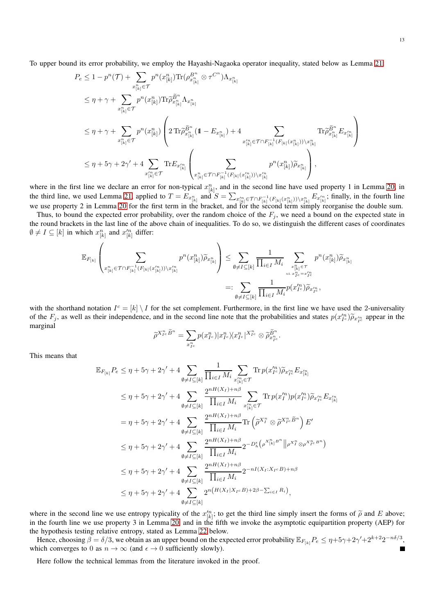To upper bound its error probability, we employ the Hayashi-Nagaoka operator inequality, stated below as Lemma [21:](#page-13-0)

$$
P_e \leq 1 - p^n(\mathcal{T}) + \sum_{x_{[k]}^n \in \mathcal{T}} p^n(x_{[k]}^n) \text{Tr}(\rho_{x_{[k]}^n}^{B^n} \otimes \tau^{C^n}) \Lambda_{x_{[k]}^n}
$$
  
\n
$$
\leq \eta + \gamma + \sum_{x_{[k]}^n \in \mathcal{T}} p^n(x_{[k]}^n) \text{Tr} \tilde{\rho}_{x_{[k]}^n}^{B^n} \Lambda_{x_{[k]}^n}
$$
  
\n
$$
\leq \eta + \gamma + \sum_{x_{[k]}^n \in \mathcal{T}} p^n(x_{[k]}^n) \left( 2 \text{Tr} \tilde{\rho}_{x_{[k]}^n}^{B^n} (1 - E_{x_{[k]}^n}) + 4 \sum_{x_{[k]}^n \in \mathcal{T} \cap F_{[k]}^{-1} (F_{[k]}(x_{[k]}^n)) \setminus x_{[k]}^n} \text{Tr} \tilde{\rho}_{x_{[k]}^n}^{B^n} E_{x_{[k]}^n} \right)
$$
  
\n
$$
\leq \eta + 5\gamma + 2\gamma' + 4 \sum_{x_{[k]}^n \in \mathcal{T}} \text{Tr} E_{x_{[k]}^n} \left( \sum_{x_{[k]}^n \in \mathcal{T} \cap F_{[k]}^{-1} (F_{[k]}(x_{[k]}^n)) \setminus x_{[k]}^n} p^n(x_{[k]}^n) \tilde{\rho}_{x_{[k]}^n} \right),
$$

where in the first line we declare an error for non-typical  $x_{[k]}^n$ , and in the second line have used property 1 in Lemma [20;](#page-12-0) in the third line, we used Lemma [21,](#page-13-0) applied to  $T = E_{x_{[k]}^n}$  and  $S = \sum_{x_{[k]}^n \in \mathcal{T} \cap F_{[k]}^{-1}(F_{[k]}(x_{[k]}^n)) \setminus x_{[k]}^n} E_{x_{[k]}^n}$ ; finally, in the fourth line we use property 2 in Lemma [20](#page-12-0) for the first term in the bracket, and for the second term simply reorganise the double sum.

Thus, to bound the expected error probability, over the random choice of the  $F_j$ , we need a bound on the expected state in the round brackets in the last line of the above chain of inequalities. To do so, we distinguish the different cases of coordinates  $\emptyset \neq I \subseteq [k]$  in which  $x_{[k]}^n$  and  $x_{[k]}^{'n}$  differ:

$$
\mathbb{E}_{F_{[k]}}\left(\sum_{x_{[k]}^n\in\mathcal{T}\cap F_{[k]}^{-1}(F_{[k]}(x_{[k]}^n))\backslash x_{[k]}^m}p^n(x_{[k]}^n)\widetilde{\rho}_{x_{[k]}^n}\right)\leq \sum_{\emptyset\neq I\subseteq [k]}\frac{1}{\prod_{i\in I}M_i}\sum_{\substack{x_{[k]}^n\in\mathcal{T}\\ \text{s.t. }x_{I^c}=x_{I^c}^m\\ \text{ s.t. }x_{I^c}^n=x_{I^c}^m}}p^n(x_{[k]}^n)\widetilde{\rho}_{x_{[k]}^n}
$$

$$
=:\sum_{\emptyset\neq I\subseteq [k]}\frac{1}{\prod_{i\in I}M_i}p(x_{I^c}^m)\widetilde{\rho}_{x_{I^c}^m},
$$

with the shorthand notation  $I^c = [k] \setminus I$  for the set complement. Furthermore, in the first line we have used the 2-universality of the  $F_j$ , as well as their independence, and in the second line note that the probabilities and states  $p(x_{I_c}^m)\widetilde{\rho}_{x_{I_c}^m}$  appear in the marginal

$$
\widetilde{\rho}^{X_{I^c}^n\widetilde{B}^n}=\sum_{x_{I^c}^n}p(x_{I^c}^n)|x_{I^c}^n\rangle\langle x_{I^c}^n|^{X_{I^c}^n}\otimes\widetilde{\rho}_{x_{I^c}}^{\widetilde{B}^n}.
$$

This means that

$$
\mathbb{E}_{F_{[k]}} P_e \leq \eta + 5\gamma + 2\gamma' + 4 \sum_{\emptyset \neq I \subseteq [k]} \frac{1}{\prod_{i \in I} M_i} \sum_{x_{[k]}^{\prime n} \in \mathcal{T}} \text{Tr} \, p(x_{I^c}^{\prime n}) \tilde{\rho}_{x_{I^c}^{\prime n}} E_{x_{[k]}^{\prime n}} \n\leq \eta + 5\gamma + 2\gamma' + 4 \sum_{\emptyset \neq I \subseteq [k]} \frac{2^{nH(X_I) + n\beta}}{\prod_{i \in I} M_i} \sum_{x_{[k]}^{\prime n} \in \mathcal{T}} \text{Tr} \, p(x_I^{\prime n}) p(x_{I^c}^{\prime n}) \tilde{\rho}_{x_{I^c}^{\prime n}} E_{x_{[k]}^{\prime n}} \n= \eta + 5\gamma + 2\gamma' + 4 \sum_{\emptyset \neq I \subseteq [k]} \frac{2^{nH(X_I) + n\beta}}{\prod_{i \in I} M_i} \text{Tr} \left( \tilde{\rho}^{X_I^n} \otimes \tilde{\rho}^{X_{I^c}^n} \tilde{B}^n \right) E' \n\leq \eta + 5\gamma + 2\gamma' + 4 \sum_{\emptyset \neq I \subseteq [k]} \frac{2^{nH(X_I) + n\beta}}{\prod_{i \in I} M_i} 2^{-D_h^{\epsilon}} (\rho^{X_{[k]}^n B^n} || \rho^{X_I^n} \otimes \rho^{X_{I^c}^n B^n}) \n\leq \eta + 5\gamma + 2\gamma' + 4 \sum_{\emptyset \neq I \subseteq [k]} \frac{2^{nH(X_I) + n\beta}}{\prod_{i \in I} M_i} 2^{-nI(X_I : X_{I^c} B) + n\beta} \n\leq \eta + 5\gamma + 2\gamma' + 4 \sum_{\emptyset \neq I \subseteq [k]} 2^{n(H(X_I | X_{I^c} B) + 2\beta - \sum_{i \in I} R_i)},
$$

where in the second line we use entropy typicality of the  $x_{[k]}^{n}$ ; to get the third line simply insert the forms of  $\tilde{\rho}$  and E above; in the fourth line we use property 3 in Lemma [20,](#page-12-0) and in the fifth we invoke the asymptotic equipartition property (AEP) for the hypothesis testing relative entropy, stated as Lemma [22](#page-13-1) below.

Hence, choosing  $\beta = \delta/3$ , we obtain as an upper bound on the expected error probability  $\mathbb{E}_{F_{[k]}} P_e \le \eta + 5\gamma + 2\gamma' + 2^{k+2}2^{-n\delta/3}$ , which converges to 0 as  $n \to \infty$  (and  $\epsilon \to 0$  sufficiently slowly). П

<span id="page-12-0"></span>Here follow the technical lemmas from the literature invoked in the proof.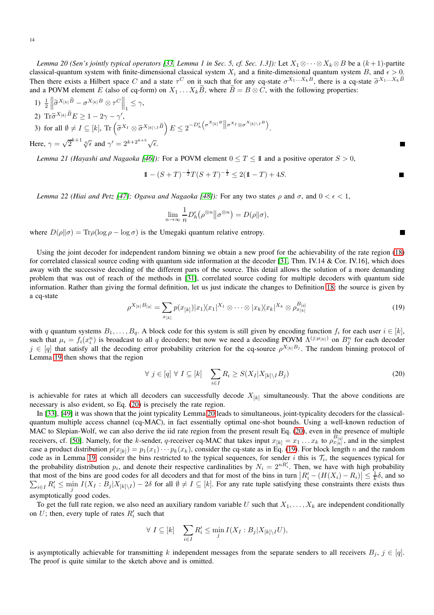*Lemma 20 (Sen's jointly typical operators [\[33,](#page-14-31) Lemma 1 in Sec. 5, cf. Sec. 1.3]):* Let  $X_1 \otimes \cdots \otimes X_k \otimes B$  be a  $(k+1)$ -partite classical-quantum system with finite-dimensional classical system  $X_i$  and a finite-dimensional quantum system B, and  $\epsilon > 0$ . Then there exists a Hilbert space C and a state  $\tau^C$  on it such that for any cq-state  $\sigma^{X_1...X_k}$ , there is a cq-state  $\tilde{\sigma}^{X_1...X_k}$ and a POVM element E (also of cq-form) on  $X_1 \dots X_k B$ , where  $B = B \otimes C$ , with the following properties:

1) 
$$
\frac{1}{2} \left\| \widetilde{\sigma}^{X_{[k]}} \widetilde{B} - \sigma^{X_{[k]}B} \otimes \tau^{C} \right\|_{1} \leq \gamma,
$$
  
2) Tr $\widetilde{\sigma}^{X_{[k]}} \widetilde{B} E \geq 1 - 2\gamma - \gamma',$   
3) for all  $\emptyset \neq I \subseteq [k]$ , Tr  $(\widetilde{\sigma}^{X_I} \otimes \widetilde{\sigma}^{X_{[k]}\setminus I} \widetilde{B}) E \leq 2^{-D_h^{\epsilon}} (\sigma^{X_{[k]}B} \|\sigma^{X_I} \otimes \sigma^{X_{[k]}\setminus I}B).$   
Here,  $\gamma = \sqrt{2}^{k+1} \sqrt[4]{\epsilon}$  and  $\gamma' = 2^{k+2^{k+5}} \sqrt{\epsilon}.$ 

<span id="page-13-0"></span>*Lemma 21 (Hayashi and Nagaoka* [\[46\]](#page-14-43)): For a POVM element  $0 \le T \le 11$  and a positive operator  $S > 0$ ,

$$
1\!\!1 - (S+T)^{-\frac{1}{2}}T(S+T)^{-\frac{1}{2}} \le 2(1\!\!1 - T) + 4S.
$$

П

<span id="page-13-1"></span>*Lemma 22 (Hiai and Petz [\[47\]](#page-14-44); Ogawa and Nagaoka [\[48\]](#page-14-45)):* For any two states ρ and  $\sigma$ , and  $0 < \epsilon < 1$ *,* 

$$
\lim_{n \to \infty} \frac{1}{n} D_h^{\epsilon} (\rho^{\otimes n} || \sigma^{\otimes n}) = D(\rho || \sigma),
$$

where  $D(\rho||\sigma) = \text{Tr}\rho(\log \rho - \log \sigma)$  is the Umegaki quantum relative entropy.

Using the joint decoder for independent random binning we obtain a new proof for the achievability of the rate region [\(18\)](#page-11-1) for correlated classical source coding with quantum side information at the decoder [\[31,](#page-14-29) Thm. IV.14 & Cor. IV.16], which does away with the successive decoding of the different parts of the source. This detail allows the solution of a more demanding problem that was out of reach of the methods in [\[31\]](#page-14-29), correlated source coding for multiple decoders with quantum side information. Rather than giving the formal definition, let us just indicate the changes to Definition [18:](#page-10-1) the source is given by a cq-state

<span id="page-13-3"></span>
$$
\rho^{X_{[k]}B_{[q]}} = \sum_{x_{[k]}} p(x_{[k]}) |x_1 \rangle \langle x_1|^{X_1} \otimes \cdots \otimes |x_k \rangle \langle x_k|^{X_k} \otimes \rho_{x_{[k]}}^{B_{[q]}} \tag{19}
$$

with q quantum systems  $B_1, \ldots, B_q$ . A block code for this system is still given by encoding function  $f_i$  for each user  $i \in [k]$ , such that  $\mu_i = f_i(x_i^n)$  is broadcast to all q decoders; but now we need a decoding POVM  $\Lambda^{(j;\mu_{[k]})}$  on  $B_j^n$  for each decoder  $j \in [q]$  that satisfy all the decoding error probability criterion for the cq-source  $\rho^{X_{[k]}B_j}$ . The random binning protocol of Lemma [19](#page-11-0) then shows that the region

<span id="page-13-2"></span>
$$
\forall j \in [q] \forall I \subseteq [k] \quad \sum_{i \in I} R_i \ge S(X_I | X_{[k] \setminus I} B_j)
$$
\n(20)

is achievable for rates at which all decoders can successfully decode  $X_{[k]}$  simultaneously. That the above conditions are necessary is also evident, so Eq. [\(20\)](#page-13-2) is precisely the rate region.

In [\[33\]](#page-14-31), [\[49\]](#page-14-46) it was shown that the joint typicality Lemma [20](#page-12-0) leads to simultaneous, joint-typicality decoders for the classicalquantum multiple access channel (cq-MAC), in fact essentially optimal one-shot bounds. Using a well-known reduction of MAC to Slepian-Wolf, we can also derive the iid rate region from the present result Eq. [\(20\)](#page-13-2), even in the presence of multiple receivers, cf. [\[50\]](#page-14-47). Namely, for the k-sender, q-receiver cq-MAC that takes input  $x_{[k]} = x_1 \dots x_k$  to  $\rho_{x_{[k]}}^{B_{[q]}}$ , and in the simplest case a product distribution  $p(x_{[k]}) = p_1(x_1) \cdots p_k(x_k)$ , consider the cq-state as in Eq. [\(19\)](#page-13-3). For block length n and the random code as in Lemma [19,](#page-11-0) consider the bins restricted to the typical sequences, for sender i this is  $\mathcal{T}_i$ , the sequences typical for the probability distribution  $p_i$ , and denote their respective cardinalities by  $N_i = 2^{nR'_i}$ . Then, we have with high probability that most of the bins are good codes for all decoders and that for most of the bins in turn  $|R'_i - (H(X_i) - R_i)| \leq \frac{1}{k}\delta$ , and so  $\sum_{i\in I} R'_i \le \min_j I(X_I : B_j | X_{[k]\setminus I}) - 2\delta$  for all  $\emptyset \ne I \subseteq [k]$ . For any rate tuple satisfying these constraints there exists thus asymptotically good codes.

To get the full rate region, we also need an auxiliary random variable U such that  $X_1, \ldots, X_k$  are independent conditionally on U; then, every tuple of rates  $R'_i$  such that

$$
\forall I \subseteq [k] \quad \sum_{i \in I} R'_i \le \min_j I(X_I : B_j | X_{[k] \setminus I} U),
$$

is asymptotically achievable for transmitting k independent messages from the separate senders to all receivers  $B_i$ ,  $j \in [q]$ . The proof is quite similar to the sketch above and is omitted.